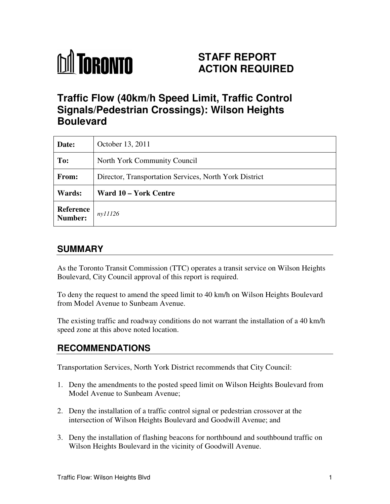# **M** TORONTO

# **STAFF REPORT ACTION REQUIRED**

# **Traffic Flow (40km/h Speed Limit, Traffic Control Signals/Pedestrian Crossings): Wilson Heights Boulevard**

| Date:                | October 13, 2011                                       |
|----------------------|--------------------------------------------------------|
| To:                  | North York Community Council                           |
| From:                | Director, Transportation Services, North York District |
| Wards:               | Ward 10 – York Centre                                  |
| Reference<br>Number: | ny11126                                                |

# **SUMMARY**

As the Toronto Transit Commission (TTC) operates a transit service on Wilson Heights Boulevard, City Council approval of this report is required.

To deny the request to amend the speed limit to 40 km/h on Wilson Heights Boulevard from Model Avenue to Sunbeam Avenue.

The existing traffic and roadway conditions do not warrant the installation of a 40 km/h speed zone at this above noted location.

# **RECOMMENDATIONS**

Transportation Services, North York District recommends that City Council:

- 1. Deny the amendments to the posted speed limit on Wilson Heights Boulevard from Model Avenue to Sunbeam Avenue;
- 2. Deny the installation of a traffic control signal or pedestrian crossover at the intersection of Wilson Heights Boulevard and Goodwill Avenue; and
- 3. Deny the installation of flashing beacons for northbound and southbound traffic on Wilson Heights Boulevard in the vicinity of Goodwill Avenue.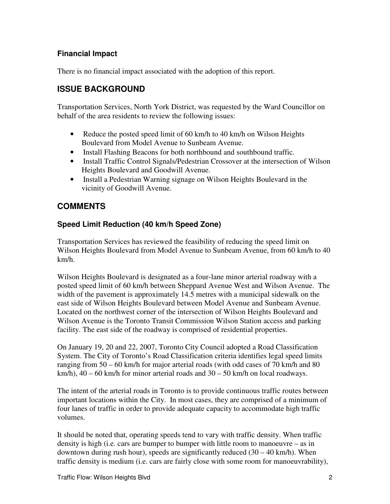#### **Financial Impact**

There is no financial impact associated with the adoption of this report.

## **ISSUE BACKGROUND**

Transportation Services, North York District, was requested by the Ward Councillor on behalf of the area residents to review the following issues:

- Reduce the posted speed limit of 60 km/h to 40 km/h on Wilson Heights Boulevard from Model Avenue to Sunbeam Avenue.
- Install Flashing Beacons for both northbound and southbound traffic.
- Install Traffic Control Signals/Pedestrian Crossover at the intersection of Wilson Heights Boulevard and Goodwill Avenue.
- Install a Pedestrian Warning signage on Wilson Heights Boulevard in the vicinity of Goodwill Avenue.

## **COMMENTS**

#### **Speed Limit Reduction (40 km/h Speed Zone)**

Transportation Services has reviewed the feasibility of reducing the speed limit on Wilson Heights Boulevard from Model Avenue to Sunbeam Avenue, from 60 km/h to 40 km/h.

Wilson Heights Boulevard is designated as a four-lane minor arterial roadway with a posted speed limit of 60 km/h between Sheppard Avenue West and Wilson Avenue. The width of the pavement is approximately 14.5 metres with a municipal sidewalk on the east side of Wilson Heights Boulevard between Model Avenue and Sunbeam Avenue. Located on the northwest corner of the intersection of Wilson Heights Boulevard and Wilson Avenue is the Toronto Transit Commission Wilson Station access and parking facility. The east side of the roadway is comprised of residential properties.

On January 19, 20 and 22, 2007, Toronto City Council adopted a Road Classification System. The City of Toronto's Road Classification criteria identifies legal speed limits ranging from 50 – 60 km/h for major arterial roads (with odd cases of 70 km/h and 80 km/h),  $40 - 60$  km/h for minor arterial roads and  $30 - 50$  km/h on local roadways.

The intent of the arterial roads in Toronto is to provide continuous traffic routes between important locations within the City. In most cases, they are comprised of a minimum of four lanes of traffic in order to provide adequate capacity to accommodate high traffic volumes.

It should be noted that, operating speeds tend to vary with traffic density. When traffic density is high (i.e. cars are bumper to bumper with little room to manoeuvre – as in downtown during rush hour), speeds are significantly reduced  $(30 - 40 \text{ km/h})$ . When traffic density is medium (i.e. cars are fairly close with some room for manoeuvrability),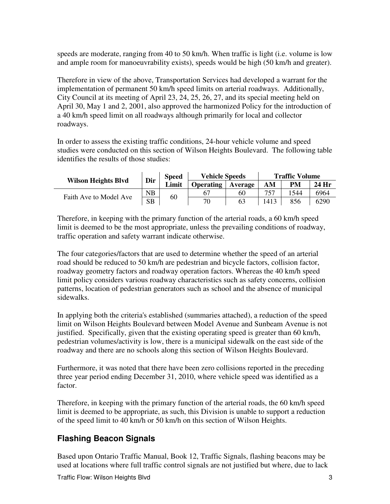speeds are moderate, ranging from 40 to 50 km/h. When traffic is light (i.e. volume is low and ample room for manoeuvrability exists), speeds would be high (50 km/h and greater).

Therefore in view of the above, Transportation Services had developed a warrant for the implementation of permanent 50 km/h speed limits on arterial roadways. Additionally, City Council at its meeting of April 23, 24, 25, 26, 27, and its special meeting held on April 30, May 1 and 2, 2001, also approved the harmonized Policy for the introduction of a 40 km/h speed limit on all roadways although primarily for local and collector roadways.

In order to assess the existing traffic conditions, 24-hour vehicle volume and speed studies were conducted on this section of Wilson Heights Boulevard. The following table identifies the results of those studies:

| <b>Wilson Heights Blvd</b> | Dir         | <b>Speed</b> | <b>Vehicle Speeds</b> |         | <b>Traffic Volume</b>  |       |      |
|----------------------------|-------------|--------------|-----------------------|---------|------------------------|-------|------|
|                            |             | Limit        | <b>Operating</b>      | Average | PM<br>AМ<br>757<br>544 | 24 Hr |      |
|                            | $_{\rm NB}$ | 60           | 67                    | 60      |                        |       | 6964 |
| Faith Ave to Model Ave     | SB          |              | 70                    | 63      | 1413                   | 856   | 6290 |

Therefore, in keeping with the primary function of the arterial roads, a 60 km/h speed limit is deemed to be the most appropriate, unless the prevailing conditions of roadway, traffic operation and safety warrant indicate otherwise.

The four categories/factors that are used to determine whether the speed of an arterial road should be reduced to 50 km/h are pedestrian and bicycle factors, collision factor, roadway geometry factors and roadway operation factors. Whereas the 40 km/h speed limit policy considers various roadway characteristics such as safety concerns, collision patterns, location of pedestrian generators such as school and the absence of municipal sidewalks.

In applying both the criteria's established (summaries attached), a reduction of the speed limit on Wilson Heights Boulevard between Model Avenue and Sunbeam Avenue is not justified. Specifically, given that the existing operating speed is greater than 60 km/h, pedestrian volumes/activity is low, there is a municipal sidewalk on the east side of the roadway and there are no schools along this section of Wilson Heights Boulevard.

Furthermore, it was noted that there have been zero collisions reported in the preceding three year period ending December 31, 2010, where vehicle speed was identified as a factor.

Therefore, in keeping with the primary function of the arterial roads, the 60 km/h speed limit is deemed to be appropriate, as such, this Division is unable to support a reduction of the speed limit to 40 km/h or 50 km/h on this section of Wilson Heights.

# **Flashing Beacon Signals**

Based upon Ontario Traffic Manual, Book 12, Traffic Signals, flashing beacons may be used at locations where full traffic control signals are not justified but where, due to lack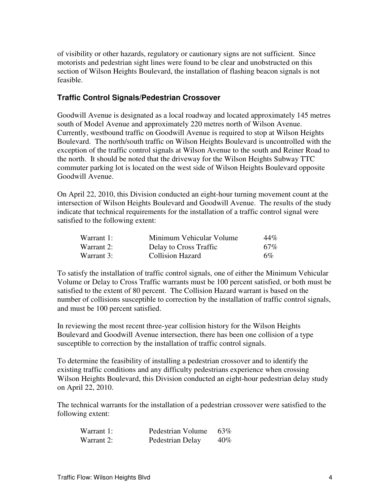of visibility or other hazards, regulatory or cautionary signs are not sufficient. Since motorists and pedestrian sight lines were found to be clear and unobstructed on this section of Wilson Heights Boulevard, the installation of flashing beacon signals is not feasible.

#### **Traffic Control Signals/Pedestrian Crossover**

Goodwill Avenue is designated as a local roadway and located approximately 145 metres south of Model Avenue and approximately 220 metres north of Wilson Avenue. Currently, westbound traffic on Goodwill Avenue is required to stop at Wilson Heights Boulevard. The north/south traffic on Wilson Heights Boulevard is uncontrolled with the exception of the traffic control signals at Wilson Avenue to the south and Reiner Road to the north. It should be noted that the driveway for the Wilson Heights Subway TTC commuter parking lot is located on the west side of Wilson Heights Boulevard opposite Goodwill Avenue.

On April 22, 2010, this Division conducted an eight-hour turning movement count at the intersection of Wilson Heights Boulevard and Goodwill Avenue. The results of the study indicate that technical requirements for the installation of a traffic control signal were satisfied to the following extent:

| Warrant 1: | Minimum Vehicular Volume | 44%    |
|------------|--------------------------|--------|
| Warrant 2: | Delay to Cross Traffic   | $67\%$ |
| Warrant 3: | <b>Collision Hazard</b>  | $6\%$  |

To satisfy the installation of traffic control signals, one of either the Minimum Vehicular Volume or Delay to Cross Traffic warrants must be 100 percent satisfied, or both must be satisfied to the extent of 80 percent. The Collision Hazard warrant is based on the number of collisions susceptible to correction by the installation of traffic control signals, and must be 100 percent satisfied.

In reviewing the most recent three-year collision history for the Wilson Heights Boulevard and Goodwill Avenue intersection, there has been one collision of a type susceptible to correction by the installation of traffic control signals.

To determine the feasibility of installing a pedestrian crossover and to identify the existing traffic conditions and any difficulty pedestrians experience when crossing Wilson Heights Boulevard, this Division conducted an eight-hour pedestrian delay study on April 22, 2010.

The technical warrants for the installation of a pedestrian crossover were satisfied to the following extent:

| Warrant 1: | Pedestrian Volume | 63% |
|------------|-------------------|-----|
| Warrant 2: | Pedestrian Delay  | 40% |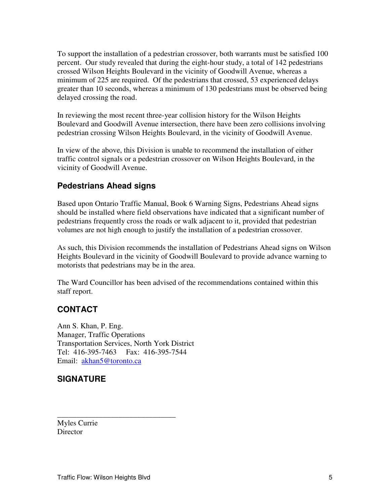To support the installation of a pedestrian crossover, both warrants must be satisfied 100 percent. Our study revealed that during the eight-hour study, a total of 142 pedestrians crossed Wilson Heights Boulevard in the vicinity of Goodwill Avenue, whereas a minimum of 225 are required. Of the pedestrians that crossed, 53 experienced delays greater than 10 seconds, whereas a minimum of 130 pedestrians must be observed being delayed crossing the road.

In reviewing the most recent three-year collision history for the Wilson Heights Boulevard and Goodwill Avenue intersection, there have been zero collisions involving pedestrian crossing Wilson Heights Boulevard, in the vicinity of Goodwill Avenue.

In view of the above, this Division is unable to recommend the installation of either traffic control signals or a pedestrian crossover on Wilson Heights Boulevard, in the vicinity of Goodwill Avenue.

#### **Pedestrians Ahead signs**

Based upon Ontario Traffic Manual, Book 6 Warning Signs, Pedestrians Ahead signs should be installed where field observations have indicated that a significant number of pedestrians frequently cross the roads or walk adjacent to it, provided that pedestrian volumes are not high enough to justify the installation of a pedestrian crossover.

As such, this Division recommends the installation of Pedestrians Ahead signs on Wilson Heights Boulevard in the vicinity of Goodwill Boulevard to provide advance warning to motorists that pedestrians may be in the area.

The Ward Councillor has been advised of the recommendations contained within this staff report.

## **CONTACT**

Ann S. Khan, P. Eng. Manager, Traffic Operations Transportation Services, North York District Tel: 416-395-7463 Fax: 416-395-7544 Email: akhan5@toronto.ca

\_\_\_\_\_\_\_\_\_\_\_\_\_\_\_\_\_\_\_\_\_\_\_\_\_\_\_\_\_\_\_

#### **SIGNATURE**

Myles Currie **Director**